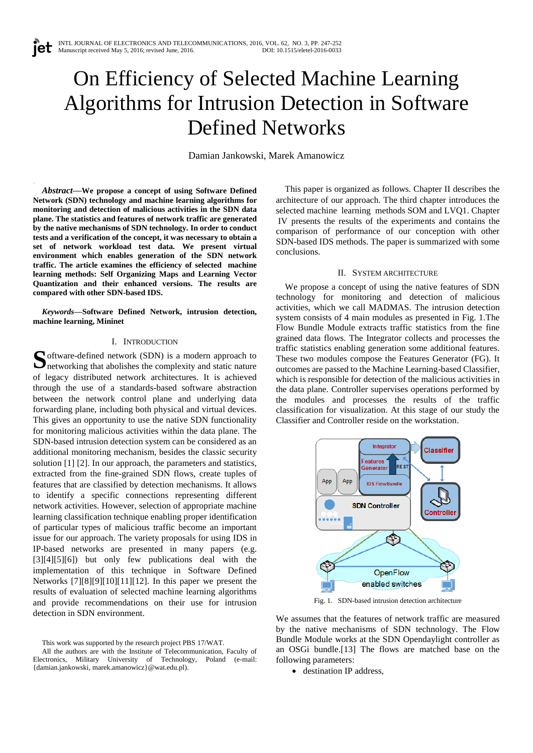# On Efficiency of Selected Machine Learning Algorithms for Intrusion Detection in Software Defined Networks

Damian Jankowski, Marek Amanowicz

*Abstract***—We propose a concept of using Software Defined Network (SDN) technology and machine learning algorithms for monitoring and detection of malicious activities in the SDN data plane. The statistics and features of network traffic are generated by the native mechanisms of SDN technology. In order to conduct tests and a verification of the concept, it was necessary to obtain a set of network workload test data. We present virtual environment which enables generation of the SDN network traffic. The article examines the efficiency of selected machine learning methods: Self Organizing Maps and Learning Vector Quantization and their enhanced versions. The results are compared with other SDN-based IDS.**

*Keywords***—Software Defined Network, intrusion detection, machine learning, Mininet**

## I. INTRODUCTION

oftware-defined network (SDN) is a modern approach to **S** oftware-defined network (SDN) is a modern approach to networking that abolishes the complexity and static nature of legacy distributed network architectures. It is achieved through the use of a standards-based software abstraction between the network control plane and underlying data forwarding plane, including both physical and virtual devices. This gives an opportunity to use the native SDN functionality for monitoring malicious activities within the data plane. The SDN-based intrusion detection system can be considered as an additional monitoring mechanism, besides the classic security solution [1] [2]. In our approach, the parameters and statistics, extracted from the fine-grained SDN flows, create tuples of features that are classified by detection mechanisms. It allows to identify a specific connections representing different network activities. However, selection of appropriate machine learning classification technique enabling proper identification of particular types of malicious traffic become an important issue for our approach. The variety proposals for using IDS in IP-based networks are presented in many papers (e.g. [3][4][5][6]) but only few publications deal with the implementation of this technique in Software Defined Networks [7][8][9][10][11][12]. In this paper we present the results of evaluation of selected machine learning algorithms and provide recommendations on their use for intrusion detection in SDN environment.

This work was supported by the research project PBS 17/WAT.

All the authors are with the Institute of Telecommunication, Faculty of Electronics, Military University of Technology, Poland (e-mail: {damian.jankowski, marek.amanowicz}@wat.edu.pl).

This paper is organized as follows. Chapter II describes the architecture of our approach. The third chapter introduces the selected machine learning methods SOM and LVQ1. Chapter IV presents the results of the experiments and contains the comparison of performance of our conception with other SDN-based IDS methods. The paper is summarized with some conclusions.

# II. SYSTEM ARCHITECTURE

We propose a concept of using the native features of SDN technology for monitoring and detection of malicious activities, which we call MADMAS. The intrusion detection system consists of 4 main modules as presented in Fig. 1.The Flow Bundle Module extracts traffic statistics from the fine grained data flows. The Integrator collects and processes the traffic statistics enabling generation some additional features. These two modules compose the Features Generator (FG). It outcomes are passed to the Machine Learning-based Classifier, which is responsible for detection of the malicious activities in the data plane. Controller supervises operations performed by the modules and processes the results of the traffic classification for visualization. At this stage of our study the Classifier and Controller reside on the workstation.



Fig. 1. SDN-based intrusion detection architecture

We assumes that the features of network traffic are measured by the native mechanisms of SDN technology. The Flow Bundle Module works at the SDN Opendaylight controller as an OSGi bundle.[13] The flows are matched base on the following parameters:

• destination IP address,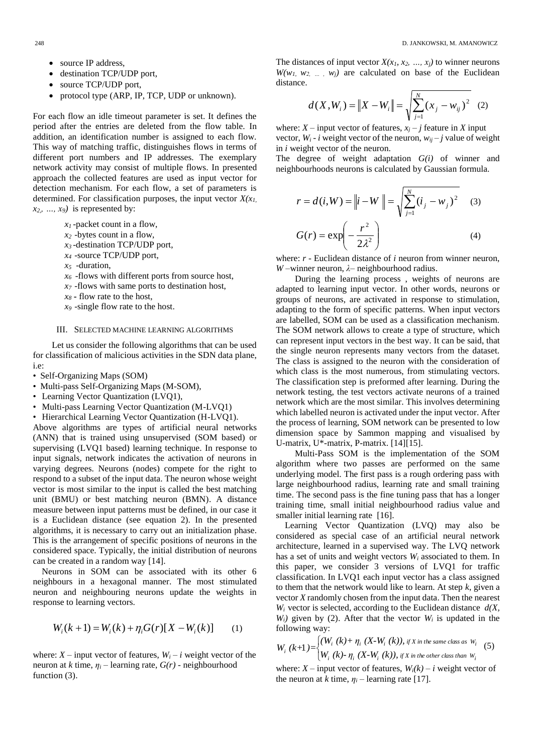- source IP address,
- destination TCP/UDP port,
- source TCP/UDP port,
- protocol type (ARP, IP, TCP, UDP or unknown).

For each flow an idle timeout parameter is set. It defines the period after the entries are deleted from the flow table. In addition, an identification number is assigned to each flow. This way of matching traffic, distinguishes flows in terms of different port numbers and IP addresses. The exemplary network activity may consist of multiple flows. In presented approach the collected features are used as input vector for detection mechanism. For each flow, a set of parameters is determined. For classification purposes, the input vector  $X(x)$ ,  $(x_2, \ldots, x_9)$  is represented by:

*x1* -packet count in a flow,

- *x2* -bytes count in a flow,
- *x<sup>3</sup>* -destination TCP/UDP port,
- *x<sup>4</sup>* -source TCP/UDP port,
- *x<sup>5</sup>* -duration,
- *x<sup>6</sup>* -flows with different ports from source host,
- *x7* -flows with same ports to destination host,
- *x<sup>8</sup>* **-** flow rate to the host,
- *x<sup>9</sup>* -single flow rate to the host.

#### III. SELECTED MACHINE LEARNING ALGORITHMS

Let us consider the following algorithms that can be used for classification of malicious activities in the SDN data plane, i.e:

- Self-Organizing Maps (SOM)
- Multi-pass Self-Organizing Maps (M-SOM),
- Learning Vector Quantization (LVQ1),
- Multi-pass Learning Vector Quantization (M-LVQ1)
- Hierarchical Learning Vector Quantization (H-LVQ1).

Above algorithms are types of artificial neural networks (ANN) that is trained using unsupervised (SOM based) or supervising (LVQ1 based) learning technique. In response to input signals, network indicates the activation of neurons in varying degrees. Neurons (nodes) compete for the right to respond to a subset of the input data. The neuron whose weight vector is most similar to the input is called the best matching unit (BMU) or best matching neuron (BMN). A distance measure between input patterns must be defined, in our case it is a Euclidean distance (see equation 2). In the presented algorithms, it is necessary to carry out an initialization phase. This is the arrangement of specific positions of neurons in the considered space. Typically, the initial distribution of neurons can be created in a random way [14].

Neurons in SOM can be associated with its other 6 neighbours in a hexagonal manner. The most stimulated neuron and neighbouring neurons update the weights in response to learning vectors.

$$
W_i(k+1) = W_i(k) + \eta_i G(r)[X - W_i(k)] \tag{1}
$$

where:  $X$  – input vector of features,  $W_i - i$  weight vector of the neuron at *k* time,  $\eta_i$  – learning rate,  $G(r)$  - neighbourhood function  $(3)$ .

The distances of input vector  $X(x_1, x_2, ..., x_i)$  to winner neurons  $W(w_1, w_2, \ldots, w_i)$  are calculated on base of the Euclidean distance.

$$
d(X, W_i) = \|X - W_i\| = \sqrt{\sum_{j=1}^{N} (x_j - w_{ij})^2}
$$
 (2)

where:  $X$  – input vector of features,  $x_i$  – *j* feature in *X* input vector,  $W_i$  - *i* weight vector of the neuron,  $w_{ii}$  – *j* value of weight in *i* weight vector of the neuron.

The degree of weight adaptation *G(i)* of winner and neighbourhoods neurons is calculated by Gaussian formula.

$$
r = d(i, W) = \left\| i - W \right\| = \sqrt{\sum_{j=1}^{N} (i_j - w_j)^2}
$$
 (3)  

$$
G(r) = \exp\left(-\frac{r^2}{2\lambda^2}\right)
$$
 (4)

where: *r* - Euclidean distance of *i* neuron from winner neuron, *W* –winner neuron, *λ*– neighbourhood radius.

During the learning process , weights of neurons are adapted to learning input vector. In other words, neurons or groups of neurons, are activated in response to stimulation, adapting to the form of specific patterns. When input vectors are labelled, SOM can be used as a classification mechanism. The SOM network allows to create a type of structure, which can represent input vectors in the best way. It can be said, that the single neuron represents many vectors from the dataset. The class is assigned to the neuron with the consideration of which class is the most numerous, from stimulating vectors. The classification step is preformed after learning. During the network testing, the test vectors activate neurons of a trained network which are the most similar. This involves determining which labelled neuron is activated under the input vector. After the process of learning, SOM network can be presented to low dimension space by Sammon mapping and visualised by U-matrix, U\*-matrix, P-matrix. [14][15].

Multi-Pass SOM is the implementation of the SOM algorithm where two passes are performed on the same underlying model. The first pass is a rough ordering pass with large neighbourhood radius, learning rate and small training time. The second pass is the fine tuning pass that has a longer training time, small initial neighbourhood radius value and smaller initial learning rate [16].

Learning Vector Quantization (LVQ) may also be considered as special case of an artificial neural network architecture, learned in a supervised way. The LVQ network has a set of units and weight vectors *W<sup>i</sup>* associated to them. In this paper, we consider 3 versions of LVQ1 for traffic classification. In LVQ1 each input vector has a class assigned to them that the network would like to learn. At step *k*, given a vector *X* randomly chosen from the input data. Then the nearest  $W_i$  vector is selected, according to the Euclidean distance  $d(X, \mathcal{L})$  $W_i$  given by (2). After that the vector  $W_i$  is updated in the following way:

$$
W_i \ (k+1) = \begin{cases} \n(W_i \ (k) + \eta_i \ (X - W_i \ (k)), \text{ if } x \text{ in the same class as } W_i \\ \nW_i \ (k) - \eta_i \ (X - W_i \ (k)), \text{ if } x \text{ in the other class than } W_i \n\end{cases} \tag{5}
$$

where:  $X$  – input vector of features,  $W_i(k) - i$  weight vector of the neuron at *k* time,  $\eta_i$  – learning rate [17].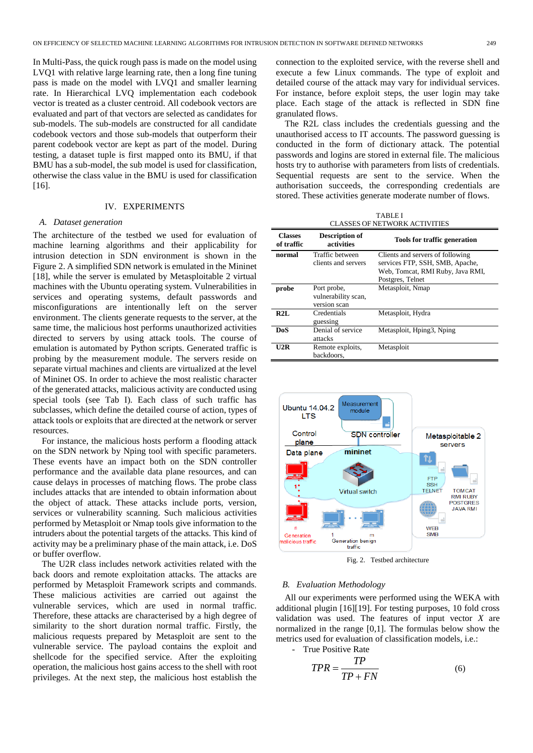In Multi-Pass, the quick rough pass is made on the model using LVQ1 with relative large learning rate, then a long fine tuning pass is made on the model with LVQ1 and smaller learning rate. In Hierarchical LVQ implementation each codebook vector is treated as a cluster centroid. All codebook vectors are evaluated and part of that vectors are selected as candidates for sub-models. The sub-models are constructed for all candidate codebook vectors and those sub-models that outperform their parent codebook vector are kept as part of the model. During testing, a dataset tuple is first mapped onto its BMU, if that BMU has a sub-model, the sub model is used for classification, otherwise the class value in the BMU is used for classification [16].

## IV. EXPERIMENTS

#### *A. Dataset generation*

The architecture of the testbed we used for evaluation of machine learning algorithms and their applicability for intrusion detection in SDN environment is shown in the Figure 2. A simplified SDN network is emulated in the Mininet [18], while the server is emulated by Metasploitable 2 virtual machines with the Ubuntu operating system. Vulnerabilities in services and operating systems, default passwords and misconfigurations are intentionally left on the server environment. The clients generate requests to the server, at the same time, the malicious host performs unauthorized activities directed to servers by using attack tools. The course of emulation is automated by Python scripts. Generated traffic is probing by the measurement module. The servers reside on separate virtual machines and clients are virtualized at the level of Mininet OS. In order to achieve the most realistic character of the generated attacks, malicious activity are conducted using special tools (see Tab I). Each class of such traffic has subclasses, which define the detailed course of action, types of attack tools or exploits that are directed at the network or server resources.

For instance, the malicious hosts perform a flooding attack on the SDN network by Nping tool with specific parameters. These events have an impact both on the SDN controller performance and the available data plane resources, and can cause delays in processes of matching flows. The probe class includes attacks that are intended to obtain information about the object of attack. These attacks include ports, version, services or vulnerability scanning. Such malicious activities performed by Metasploit or Nmap tools give information to the intruders about the potential targets of the attacks. This kind of activity may be a preliminary phase of the main attack, i.e. DoS or buffer overflow.

The U2R class includes network activities related with the back doors and remote exploitation attacks. The attacks are performed by Metasploit Framework scripts and commands. These malicious activities are carried out against the vulnerable services, which are used in normal traffic. Therefore, these attacks are characterised by a high degree of similarity to the short duration normal traffic. Firstly, the malicious requests prepared by Metasploit are sent to the vulnerable service. The payload contains the exploit and shellcode for the specified service. After the exploiting operation, the malicious host gains access to the shell with root privileges. At the next step, the malicious host establish the

connection to the exploited service, with the reverse shell and execute a few Linux commands. The type of exploit and detailed course of the attack may vary for individual services. For instance, before exploit steps, the user login may take place. Each stage of the attack is reflected in SDN fine granulated flows.

The R2L class includes the credentials guessing and the unauthorised access to IT accounts. The password guessing is conducted in the form of dictionary attack. The potential passwords and logins are stored in external file. The malicious hosts try to authorise with parameters from lists of credentials. Sequential requests are sent to the service. When the authorisation succeeds, the corresponding credentials are stored. These activities generate moderate number of flows.

TABLE I CLASSES OF NETWORK ACTIVITIES

| <b>Classes</b><br>of traffic | <b>Description of</b><br>activities                | <b>Tools for traffic generation</b>                                                                                         |
|------------------------------|----------------------------------------------------|-----------------------------------------------------------------------------------------------------------------------------|
| normal                       | Traffic between<br>clients and servers             | Clients and servers of following<br>services FTP, SSH, SMB, Apache,<br>Web, Tomcat, RMI Ruby, Java RMI,<br>Postgres, Telnet |
| probe                        | Port probe,<br>vulnerability scan,<br>version scan | Metasploit, Nmap                                                                                                            |
| R2L                          | Credentials<br>guessing                            | Metasploit, Hydra                                                                                                           |
| <b>DoS</b>                   | Denial of service<br>attacks                       | Metasploit, Hping3, Nping                                                                                                   |
| U2R                          | Remote exploits,<br>backdoors.                     | Metasploit                                                                                                                  |



Fig. 2. Testbed architecture

#### *B. Evaluation Methodology*

All our experiments were performed using the WEKA with additional plugin [16][19]. For testing purposes, 10 fold cross validation was used. The features of input vector *X* are normalized in the range [0,1]. The formulas below show the metrics used for evaluation of classification models, i.e.:

- True Positive Rate

$$
TPR = \frac{TP}{TP + FN} \tag{6}
$$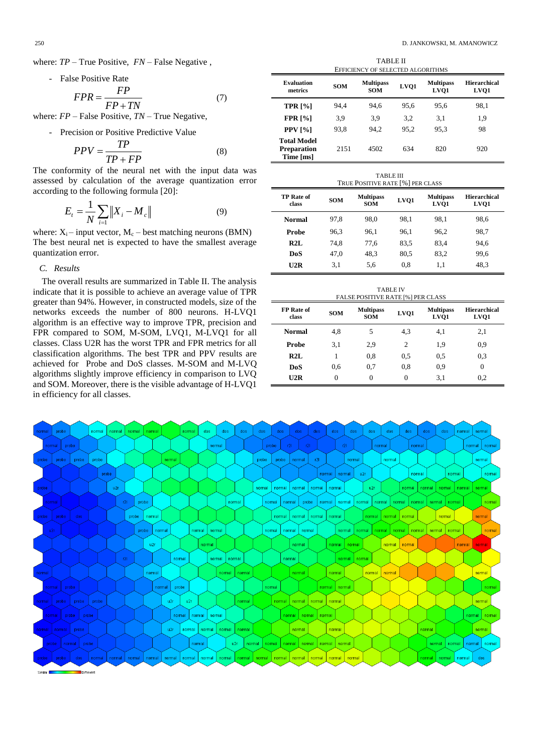- False Positive Rate  
\n
$$
FPR = \frac{FP}{FP + TN}
$$
\n(7)

where: *FP* – False Positive, *TN* – True Negative,

- Precision or Positive Predictive Value

$$
PPV = \frac{TP}{TP + FP}
$$
 (8)

The conformity of the neural net with the input data was assessed by calculation of the average quantization error according to the following formula [20]:

$$
E_{t} = \frac{1}{N} \sum_{i=1}^{N} \|X_{i} - M_{c}\|
$$
\n(9)

where:  $X_i$  – input vector,  $M_c$  – best matching neurons (BMN) The best neural net is expected to have the smallest average quantization error.

# *C. Results*

The overall results are summarized in Table II. The analysis indicate that it is possible to achieve an average value of TPR greater than 94%. However, in constructed models, size of the networks exceeds the number of 800 neurons. H-LVQ1 algorithm is an effective way to improve TPR, precision and FPR compared to SOM, M-SOM, LVQ1, M-LVQ1 for all classes. Class U2R has the worst TPR and FPR metrics for all classification algorithms. The best TPR and PPV results are achieved for Probe and DoS classes. M-SOM and M-LVQ algorithms slightly improve efficiency in comparison to LVQ and SOM. Moreover, there is the visible advantage of H-LVQ1 in efficiency for all classes.

TABLE II EFFICIENCY OF SELECTED ALGORITHMS

| <b>Evaluation</b><br>metrics                          | <b>SOM</b> | <b>Multipass</b><br><b>SOM</b> | LV01 | <b>Multipass</b><br>LV01 | <b>Hierarchical</b><br><b>LVO1</b> |
|-------------------------------------------------------|------------|--------------------------------|------|--------------------------|------------------------------------|
| <b>TPR</b> $[%]$                                      | 94,4       | 94.6                           | 95,6 | 95,6                     | 98,1                               |
| FPR [%]                                               | 3.9        | 3.9                            | 3.2  | 3.1                      | 1,9                                |
| PPV $[%]$                                             | 93,8       | 94.2                           | 95,2 | 95.3                     | 98                                 |
| <b>Total Model</b><br><b>Preparation</b><br>Time [ms] | 2151       | 4502                           | 634  | 820                      | 920                                |

|                            | <b>TABLE III</b><br>TRUE POSITIVE RATE [%] PER CLASS |                         |      |                          |                                         |  |  |  |  |  |  |  |
|----------------------------|------------------------------------------------------|-------------------------|------|--------------------------|-----------------------------------------|--|--|--|--|--|--|--|
| <b>TP</b> Rate of<br>class | <b>SOM</b>                                           | <b>Multipass</b><br>SOM | LV01 | <b>Multipass</b><br>LV01 | <b>Hierarchical</b><br>LV <sub>01</sub> |  |  |  |  |  |  |  |
| <b>Normal</b>              | 97,8                                                 | 98,0                    | 98,1 | 98,1                     | 98,6                                    |  |  |  |  |  |  |  |
| Probe                      | 96,3                                                 | 96,1                    | 96,1 | 96,2                     | 98,7                                    |  |  |  |  |  |  |  |
| R2L                        | 74.8                                                 | 77,6                    | 83,5 | 83,4                     | 94.6                                    |  |  |  |  |  |  |  |
| DoS                        | 47,0                                                 | 48.3                    | 80,5 | 83,2                     | 99,6                                    |  |  |  |  |  |  |  |
| U2R                        | 3.1                                                  | 5.6                     | 0.8  | 1.1                      | 48,3                                    |  |  |  |  |  |  |  |

| <b>TABLE IV</b><br>FALSE POSITIVE RATE [%] PER CLASS |            |                                |                |                          |                             |  |  |  |  |  |
|------------------------------------------------------|------------|--------------------------------|----------------|--------------------------|-----------------------------|--|--|--|--|--|
| <b>FP</b> Rate of<br>class                           | <b>SOM</b> | <b>Multipass</b><br><b>SOM</b> | LVQ1           | <b>Multipass</b><br>LV01 | <b>Hierarchical</b><br>LVQ1 |  |  |  |  |  |
| <b>Normal</b>                                        | 4,8        | 5                              | 4,3            | 4,1                      | 2,1                         |  |  |  |  |  |
| Probe                                                | 3,1        | 2,9                            | $\overline{c}$ | 1.9                      | 0.9                         |  |  |  |  |  |
| R2L                                                  |            | 0,8                            | 0.5            | 0.5                      | 0.3                         |  |  |  |  |  |
| <b>DoS</b>                                           | 0.6        | 0,7                            | 0,8            | 0,9                      | $\Omega$                    |  |  |  |  |  |
| U2R                                                  | $\theta$   | 0                              | 0              | 3,1                      | 0,2                         |  |  |  |  |  |

| normal  | probe           |           | normal | normal | normal | normal |        | normal |        | dos    | dos    | dos:   | dos    | dos    | dos    |        | dos.   | dos    | dos.   | dos    | dos    |        | dos.   | dos    | dos    | normal | normal           |
|---------|-----------------|-----------|--------|--------|--------|--------|--------|--------|--------|--------|--------|--------|--------|--------|--------|--------|--------|--------|--------|--------|--------|--------|--------|--------|--------|--------|------------------|
|         | probe<br>normal |           |        |        |        |        |        |        |        | normal |        |        |        | probe  | r21    | r21    |        | r21    |        |        | normal |        | normal |        |        |        | normal<br>normal |
| probe   | probe           | probe     | probe  |        |        |        | normal |        |        |        |        |        | probe  | probe  | normal |        | r21    |        | normal |        | normal |        |        |        |        |        | normal           |
|         |                 |           |        | probe  |        |        |        |        |        |        |        |        |        |        |        |        | normal | normal |        | u2r    |        |        | normal |        |        | normal | normal           |
| probe   |                 |           |        | u2r    |        |        |        |        |        |        |        |        | normal | normal | normal |        | normal | normal |        | u2r    |        |        | normal | normal | normal | normal | normal           |
|         | normal          |           |        |        | 2      | probe  |        |        |        |        |        | normal |        | normal | normal | probe  | normal | normal |        | normal | normal | normal | normal |        | normal | normal | normal           |
| probe   | probe           | dos.      |        |        | probe  | normal |        |        |        |        |        |        |        | normal | normal |        | normal | normal |        | normal | normal |        | normal |        | normal |        | normal           |
|         | u2r             |           |        |        |        | probe  | normal |        | normal | normal |        |        |        | normal | normal | normal |        | normal |        | normal | normal | normal | normal |        | normal | normal | normal           |
|         |                 |           |        |        |        | u2r    |        |        |        | normal |        |        |        |        | normal |        |        | normal | normal |        | normal |        | normal |        |        | normal | normal           |
|         |                 |           |        |        | r21    |        |        | normal |        | normal |        | normal |        |        | normal |        |        | normal |        | normal |        |        |        |        |        |        |                  |
| normal  |                 |           |        |        |        | normal |        |        |        |        | normal | normal |        |        | normal |        |        | normal |        | normal | normal |        |        |        |        |        | normal           |
|         | normal<br>probe |           |        |        |        |        | normal | probe  |        |        |        |        |        | normal |        |        | normal | normal |        |        |        |        |        |        |        |        | normal           |
| normal  | probe           | probe     | probe  |        |        |        | u2r    |        | u2r    |        |        | normal |        | normal | normal |        | normal | normal |        |        |        |        |        |        |        |        | normal           |
|         | normal<br>probe | probe     |        |        |        |        |        | normal | normal | normal |        |        |        |        | normal | normal | normal |        |        |        |        |        |        |        |        |        | normal<br>normal |
| normal  | normal          | probe     |        |        |        |        | u2r    | normal |        | normal | normal | normal |        |        | normal |        |        | normal |        |        |        |        |        | normal |        |        | normal           |
|         | probe<br>normal | probe     |        |        |        |        |        |        | normal |        |        | u2r    | normal | normal | normal | normal | normal | normal |        |        |        |        |        |        | normal | normal | normal<br>normal |
| probe   | probe           | dos       | normal | normal | normal | normal | normal |        | normal | normal | normal | normal | normal | normal | normal |        | normal | normal | normal |        |        |        |        | normal | normal | normal | dos              |
| Similar |                 | Different |        |        |        |        |        |        |        |        |        |        |        |        |        |        |        |        |        |        |        |        |        |        |        |        |                  |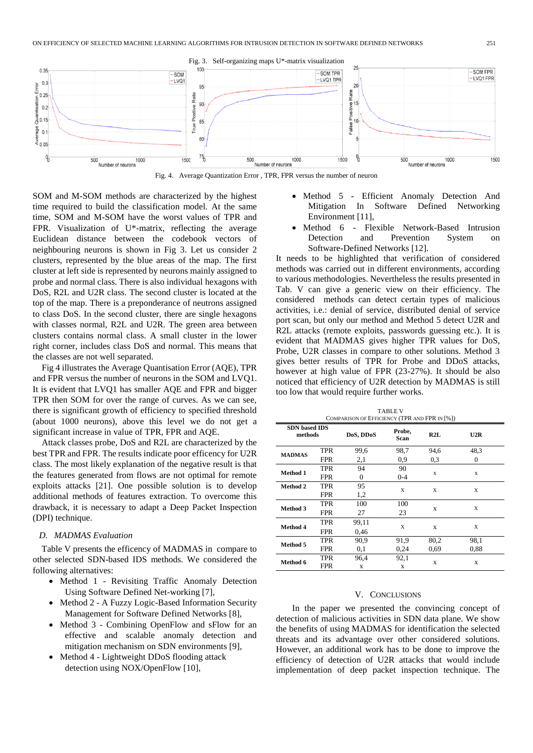

Fig. 4. Average Quantization Error , TPR, FPR versus the number of neuron

SOM and M-SOM methods are characterized by the highest time required to build the classification model. At the same time, SOM and M-SOM have the worst values of TPR and FPR. Visualization of U\*-matrix, reflecting the average Euclidean distance between the codebook vectors of neighbouring neurons is shown in Fig 3. Let us consider 2 clusters, represented by the blue areas of the map. The first cluster at left side is represented by neurons mainly assigned to probe and normal class. There is also individual hexagons with DoS, R2L and U2R class. The second cluster is located at the top of the map. There is a preponderance of neutrons assigned to class DoS. In the second cluster, there are single hexagons with classes normal, R2L and U2R. The green area between clusters contains normal class. A small cluster in the lower right corner, includes class DoS and normal. This means that the classes are not well separated.

Fig 4 illustrates the Average Quantisation Error (AQE), TPR and FPR versus the number of neurons in the SOM and LVQ1. It is evident that LVQ1 has smaller AQE and FPR and bigger TPR then SOM for over the range of curves. As we can see, there is significant growth of efficiency to specified threshold (about 1000 neurons), above this level we do not get a significant increase in value of TPR, FPR and AQE.

Attack classes probe, DoS and R2L are characterized by the best TPR and FPR. The results indicate poor efficency for U2R class. The most likely explanation of the negative result is that the features generated from flows are not optimal for remote exploits attacks [21]. One possible solution is to develop additional methods of features extraction. To overcome this drawback, it is necessary to adapt a Deep Packet Inspection (DPI) technique.

# *D. MADMAS Evaluation*

Table V presents the efficency of MADMAS in compare to other selected SDN-based IDS methods. We considered the following alternatives:

- Method 1 Revisiting Traffic Anomaly Detection Using Software Defined Net-working [7],
- Method 2 A Fuzzy Logic-Based Information Security Management for Software Defined Networks [8],
- Method 3 Combining OpenFlow and sFlow for an effective and scalable anomaly detection and mitigation mechanism on SDN environments [9],
- Method 4 Lightweight DDoS flooding attack detection using NOX/OpenFlow [10],
- Method 5 Efficient Anomaly Detection And Mitigation In Software Defined Networking Environment [11],
- Method 6 Flexible Network-Based Intrusion Detection and Prevention System on Software-Defined Networks [12].

It needs to be highlighted that verification of considered methods was carried out in different environments, according to various methodologies. Nevertheless the results presented in Tab. V can give a generic view on their efficiency. The considered methods can detect certain types of malicious activities, i.e.: denial of service, distributed denial of service port scan, but only our method and Method 5 detect U2R and R2L attacks (remote exploits, passwords guessing etc.). It is evident that MADMAS gives higher TPR values for DoS, Probe, U2R classes in compare to other solutions. Method 3 gives better results of TPR for Probe and DDoS attacks, however at high value of FPR (23-27%). It should be also noticed that efficiency of U2R detection by MADMAS is still too low that would require further works.

TABLE V COMPARISON OF EFFICIENCY (TPR AND FPR IN [%])

| <b>SDN</b> based IDS<br>methods |            | DoS, DDoS | Probe,<br>Scan | R2L  | U2R  |  |  |
|---------------------------------|------------|-----------|----------------|------|------|--|--|
| <b>MADMAS</b>                   | TPR        | 99,6      | 98,7           | 94,6 | 48.3 |  |  |
|                                 | <b>FPR</b> | 2,1       | 0,9            | 0,3  | 0    |  |  |
| Method 1                        | <b>TPR</b> | 94        | 90             | X    |      |  |  |
|                                 | <b>FPR</b> | $\theta$  | $0 - 4$        |      | X    |  |  |
| <b>Method 2</b>                 | <b>TPR</b> | 95        | X              | X    | X    |  |  |
|                                 | <b>FPR</b> | 1,2       |                |      |      |  |  |
| Method 3                        | <b>TPR</b> | 100       | 100            |      | X    |  |  |
|                                 | <b>FPR</b> | 27        | 23             | X    |      |  |  |
| Method 4                        | <b>TPR</b> | 99,11     | X              |      | X    |  |  |
|                                 | <b>FPR</b> | 0,46      |                | X    |      |  |  |
| Method 5                        | <b>TPR</b> | 90.9      | 91,9           | 80,2 | 98,1 |  |  |
|                                 | <b>FPR</b> | 0,1       | 0,24           | 0.69 | 0.88 |  |  |
| Method 6                        | <b>TPR</b> | 96.4      | 92,1           |      |      |  |  |
|                                 | FPR        | X         | X              | X    | X    |  |  |

#### V. CONCLUSIONS

In the paper we presented the convincing concept of detection of malicious activities in SDN data plane. We show the benefits of using MADMAS for identification the selected threats and its advantage over other considered solutions. However, an additional work has to be done to improve the efficiency of detection of U2R attacks that would include implementation of deep packet inspection technique. The